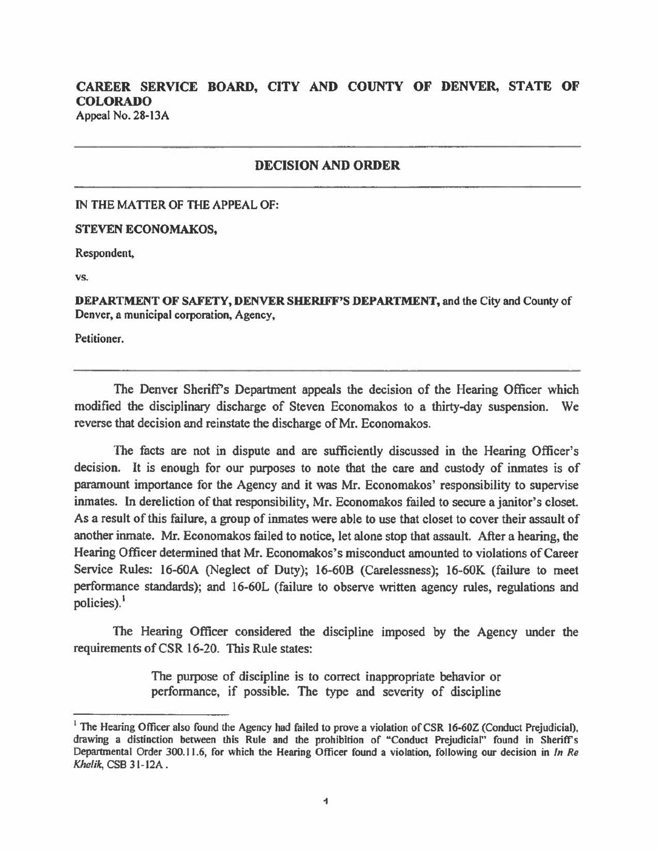## **CAREER SERVICE BOARD, CITY AND COUNTY OF DENVER, STATE OF COLORADO**  Appeal No. 28-13A

## **DECISION AND ORDER**

IN THE MATTER OF THE APPEAL OF:

**STEVEN ECONOMAKOS,** 

Respondent,

vs.

**DEPARTMENT OF SAFETY, DENVER SHERIFF'S DEPARTMENT,** and the City and County of Denver, a municipal corporation, Agency.

Petitioner.

The Denver Sheriff's Department appeals the decision of the Hearing Officer which modified the disciplinary discharge of Steven Economakos to a thirty-day suspension. We reverse that decision and reinstate the discharge of Mr. Economakos.

The facts are not in dispute and are sufficiently discussed in the Hearing Officer's decision. It is enough for our purposes to note that the care and custody of inmates is of paramount importance for the Agency and it was Mr. Economakos' responsibility to supervise inmates. In dereliction of that responsibility, Mr. Economakos failed to secure a janitor's closet. As a result of this failure, a group of inmates were able to use that closet to cover their assault of another inmate. Mr. Economakos failed to notice, let alone stop that assault. After a hearing, the Hearing Officer determined that Mr. Economakos's misconduct amounted to violations of Career Service Rules: 16-60A (Neglect of Duty); 16-60B (Carelessness); 16-60K (failure to meet performance standards); and 16-60L (failure to observe written agency rules, regulations and policies).<sup>1</sup>

The Hearing Officer considered the discipline imposed by the Agency under the requirements of CSR 16-20. This Rule states:

> The purpose of discipline is to correct inappropriate behavior or performance, if possible. The type and severity of discipline

<sup>&</sup>lt;sup>1</sup> The Hearing Officer also found the Agency had failed to prove a violation of CSR 16-60Z (Conduct Prejudicial), drawing a distinction between this Rule and the prohibition of "Conduct Prejudicial" found in Sheriff's Departmental Order 300.11.6, for which the Hearing Officer found a violation, following our decision in *In Re Khelik,* CSB 3 l-12A.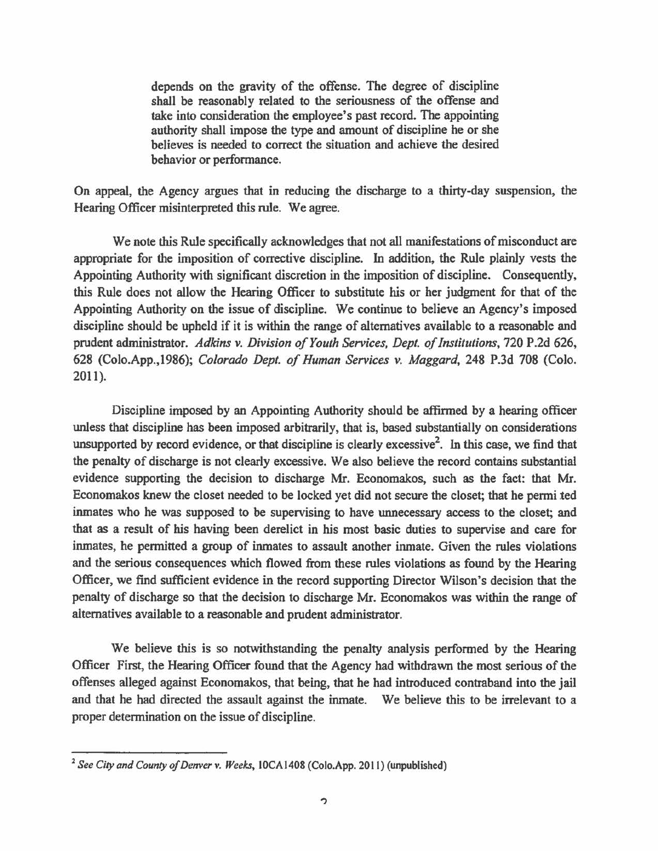depends on the gravity of the offense. The degree of discipline shall be reasonably related to the seriousness of the offense and take into consideration the employee's past record. The appointing authority shall impose the type and amount of discipline he or she believes is needed to correct the situation and achieve the desired behavior or performance.

On appeal, the Agency argues that in reducing the discharge to a thirty-day suspension, the Hearing Officer misinterpreted this rule. We agree.

We note this Rule specifically acknowledges that not all manifestations of misconduct are appropriate for the imposition of corrective discipline. In addition, the Rule plainly vests the Appointing Authority with significant discretion in the imposition of discipline. Consequently, this Rule does not allow the Hearing Officer to substitute his or her judgment for that of the Appointing Authority on the issue of discipline. We continue to believe an Agency's imposed discipline should be upheld if it is within the range of alternatives available to a reasonable and prudent administrator. *Adkins* v. *Division of Youth Services, Dept. of Institutions,* 720 P.2d 626, 628 (Colo.App., 1986); *Colorado Dept. of Human Services* v. *Maggard,* 248 P .3d 708 (Colo. 2011).

Discipline imposed by an Appointing Authority should be affirmed by a hearing officer unless that discipline has been imposed arbitrarily, that is, based substantially on considerations unsupported by record evidence, or that discipline is clearly excessive<sup>2</sup>. In this case, we find that the penalty of discharge is not clearly excessive. We also believe the record contains substantial evidence supporting the decision to discharge Mr. Economakos, such as the fact: that Mr. Economakos knew the closet needed to be locked yet did not secure the closet; that he permi :ted inmates who he was supposed to be supervising to have unnecessary access to the closet; and that as a result of his having been derelict in his most basic duties to supervise and care for inmates, he pennitted a group of inmates to assault another inmate. Given the rules violations and the serious consequences which flowed from these rules violations as found by the Hearing Officer, we find sufficient evidence in the record supporting Director Wilson's decision that the penalty of discharge so that the decision to discharge Mr. Economakos was within the range of alternatives available to a reasonable and prudent administrator.

We believe this is so notwithstanding the penalty analysis performed by the Hearing Officer First, the Hearing Officer found that the Agency had withdrawn the most serious of the offenses alleged against Economakos, that being, that he had introduced contraband into the jail and that he had directed the assault against the inmate. We believe this to be irrelevant to a proper determination on the issue of discipline.

<sup>&</sup>lt;sup>2</sup> See City and County of Denver v. Weeks, 10CA1408 (Colo.App. 2011) (unpublished)